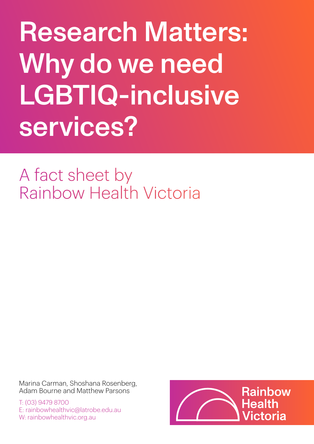Research Matters: Why do we need LGBTIQ-inclusive services?

A fact sheet by Rainbow Health Victoria

Marina Carman, Shoshana Rosenberg, Adam Bourne and Matthew Parsons

T: (03) 9479 8700 E: rainbowhealthvic@latrobe.edu.au W: rainbowhealthvic.org.au

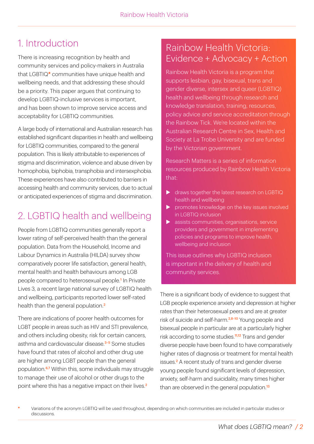## 1. Introduction

There is increasing recognition by health and community services and policy-makers in Australia that LGBTIQ**\*** communities have unique health and wellbeing needs, and that addressing these should be a priority. This paper argues that continuing to develop LGBTIQ-inclusive services is important, and has been shown to improve service access and acceptability for LGBTIQ communities.

A large body of international and Australian research has established significant disparities in health and wellbeing for LGBTIQ communities, compared to the general population. This is likely attributable to experiences of stigma and discrimination, violence and abuse driven by homophobia, biphobia, transphobia and intersexphobia. These experiences have also contributed to barriers in accessing health and community services, due to actual or anticipated experiences of stigma and discrimination.

# 2. LGBTIQ health and wellbeing

People from LGBTIQ communities generally report a lower rating of self-perceived health than the general population. Data from the Household, Income and Labour Dynamics in Australia (HILDA) survey show comparatively poorer life satisfaction, general health, mental health and health behaviours among LGB people compared to heterosexual people.<sup>1</sup> In Private Lives 3, a recent large national survey of LGBTIQ health and wellbeing, participants reported lower self-rated health than the general population.<sup>2</sup>

There are indications of poorer health outcomes for LGBT people in areas such as HIV and STI prevalence, and others including obesity, risk for certain cancers, asthma and cardiovascular disease.<sup>3-5</sup> Some studies have found that rates of alcohol and other drug use are higher among LGBT people than the general population.6,7 Within this, some individuals may struggle to manage their use of alcohol or other drugs to the point where this has a negative impact on their lives.<sup>2</sup>

#### Rainbow Health Victoria: Evidence + Advocacy + Action

Rainbow Health Victoria is a program that supports lesbian, gay, bisexual, trans and gender diverse, intersex and queer (LGBTIQ) health and wellbeing through research and knowledge translation, training, resources, policy advice and service accreditation through the Rainbow Tick. We're located within the Australian Research Centre in Sex, Health and Society at La Trobe University and are funded by the Victorian government.

Research Matters is a series of information resources produced by Rainbow Health Victoria that:

- $\blacktriangleright$  draws together the latest research on LGBTIQ health and wellbeing
- promotes knowledge on the key issues involved in LGBTIQ inclusion
- $\blacktriangleright$  assists communities, organisations, service providers and government in implementing policies and programs to improve health, wellbeing and inclusion

This issue outlines why LGBTIQ inclusion is important in the delivery of health and community services.

There is a significant body of evidence to suggest that LGB people experience anxiety and depression at higher rates than their heterosexual peers and are at greater risk of suicide and self-harm.<sup>2,8-10</sup> Young people and bisexual people in particular are at a particularly higher risk according to some studies.<sup>11,12</sup> Trans and gender diverse people have been found to have comparatively higher rates of diagnosis or treatment for mental health issues.<sup>2</sup> A recent study of trans and gender diverse young people found significant levels of depression, anxiety, self-harm and suicidality, many times higher than are observed in the general population.<sup>13</sup>

**<sup>\*</sup>** Variations of the acronym LGBTIQ will be used throughout, depending on which communities are included in particular studies or discussions.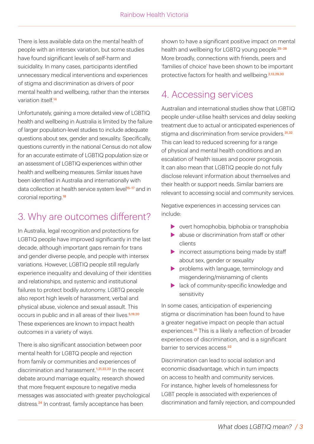There is less available data on the mental health of people with an intersex variation, but some studies have found significant levels of self-harm and suicidality. In many cases, participants identified unnecessary medical interventions and experiences of stigma and discrimination as drivers of poor mental health and wellbeing, rather than the intersex variation itself.<sup>14</sup>

Unfortunately, gaining a more detailed view of LGBTIQ health and wellbeing in Australia is limited by the failure of larger population-level studies to include adequate questions about sex, gender and sexuality. Specifically, questions currently in the national Census do not allow for an accurate estimate of LGBTIQ population size or an assessment of LGBTIQ experiences within other health and wellbeing measures. Similar issues have been identified in Australia and internationally with data collection at health service system level<sup>15-17</sup> and in coronial reporting<sup>18</sup>

### 3. Why are outcomes different?

In Australia, legal recognition and protections for LGBTIQ people have improved significantly in the last decade, although important gaps remain for trans and gender diverse people, and people with intersex variations. However, LGBTIQ people still regularly experience inequality and devaluing of their identities and relationships, and systemic and institutional failures to protect bodily autonomy. LGBTQ people also report high levels of harassment, verbal and physical abuse, violence and sexual assault. This occurs in public and in all areas of their lives.<sup>5,19,20</sup> These experiences are known to impact health outcomes in a variety of ways.

There is also significant association between poor mental health for LGBTQ people and rejection from family or communities and experiences of discrimination and harassment.<sup>1,21,22,23</sup> In the recent debate around marriage equality, research showed that more frequent exposure to negative media messages was associated with greater psychological distress.<sup>24</sup> In contrast, family acceptance has been

shown to have a significant positive impact on mental health and wellbeing for LGBTQ young people.<sup>25-28</sup> More broadly, connections with friends, peers and 'families of choice' have been shown to be important protective factors for health and wellbeing.<sup>2,13,29,30</sup>

## 4. Accessing services

Australian and international studies show that LGBTIQ people under-utilise health services and delay seeking treatment due to actual or anticipated experiences of stigma and discrimination from service providers.<sup>31,32</sup> This can lead to reduced screening for a range of physical and mental health conditions and an escalation of health issues and poorer prognosis. It can also mean that LGBTIQ people do not fully disclose relevant information about themselves and their health or support needs. Similar barriers are relevant to accessing social and community services.

Negative experiences in accessing services can include:

- $\triangleright$  overt homophobia, biphobia or transphobia
- $\blacktriangleright$  abuse or discrimination from staff or other clients
- $\blacktriangleright$  incorrect assumptions being made by staff about sex, gender or sexuality
- $\triangleright$  problems with language, terminology and misgendering/misnaming of clients
- $\blacktriangleright$  lack of community-specific knowledge and sensitivity

In some cases, anticipation of experiencing stigma or discrimination has been found to have a greater negative impact on people than actual experiences.<sup>31</sup> This is a likely a reflection of broader experiences of discrimination, and is a significant barrier to services access.<sup>32</sup>

Discrimination can lead to social isolation and economic disadvantage, which in turn impacts on access to health and community services. For instance, higher levels of homelessness for LGBT people is associated with experiences of discrimination and family rejection, and compounded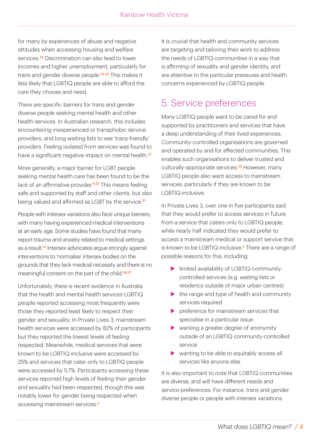for many by experiences of abuse and negative attitudes when accessing housing and welfare services<sup>33</sup> Discrimination can also lead to lower incomes and higher unemployment, particularly for trans and gender diverse people.<sup>34,35</sup> This makes it less likely that LGBTIQ people are able to afford the care they choose and need.

There are specific barriers for trans and gender diverse people seeking mental health and other health services. In Australian research, this includes encountering inexperienced or transphobic service providers, and long waiting lists to see 'trans-friendly' providers. Feeling isolated from services was found to have a significant negative impact on mental health.<sup>13</sup>

More generally, a major barrier for LGBT people seeking mental health care has been found to be the lack of an affirmative provider.<sup>8,32</sup> This means feeling safe and supported by staff and other clients, but also being valued and affirmed as LGBT by the service.<sup>31</sup>

People with intersex variations also face unique barriers, with many having experienced medical interventions at an early age. Some studies have found that many report trauma and anxiety related to medical settings as a result.<sup>14</sup> Intersex advocates argue strongly against interventions to 'normalise' intersex bodies on the grounds that they lack medical necessity and there is no meaningful consent on the part of the child.<sup>36,37</sup>

Unfortunately, there is recent evidence in Australia that the health and mental health services LGBTIQ people reported accessing most frequently were those they reported least likely to respect their gender and sexuality. In Private Lives 3, mainstream health services were accessed by 82% of participants but they reported the lowest levels of feeling respected. Meanwhile, medical services that were known to be LGBTIQ-inclusive were accessed by 25% and services that cater only to LGBTIQ people were accessed by 5.7%. Participants accessing these services reported high levels of feeling their gender and sexuality had been respected, though this was notably lower for gender being respected when accessing mainstream services.<sup>2</sup>

It is crucial that health and community services are targeting and tailoring their work to address the needs of LGBTIQ communities in a way that is affirming of sexuality and gender identity, and are attentive to the particular pressures and health concerns experienced by LGBTIQ people.

### 5. Service preferences

Many LGBTIQ people want to be cared for and supported by practitioners and services that have a deep understanding of their lived experiences. Community-controlled organisations are governed and operated by and for affected communities. This enables such organisations to deliver trusted and culturally-appropriate services.<sup>38</sup> However, many LGBTIQ people also want access to mainstream services, particularly if they are known to be LGBTIQ-inclusive.

In Private Lives 3, over one in five participants said that they would prefer to access services in future from a service that caters only to LGBTIQ people, while nearly half indicated they would prefer to access a mainstream medical or support service that is known to be LGBTIQ-inclusive.<sup>2</sup> There are a range of possible reasons for this, including:

- Imited availability of LGBTIQ-communitycontrolled services (e.g. waiting lists or residency outside of major urban centres)
- $\blacktriangleright$  the range and type of health and community services required
- $\blacktriangleright$  preference for mainstream services that specialise in a particular issue
- $\blacktriangleright$  wanting a greater degree of anonymity outside of an LGBTIQ community-controlled service
- $\triangleright$  wanting to be able to equitably access all services like anyone else

It is also important to note that LGBTIQ communities are diverse, and will have different needs and service preferences. For instance, trans and gender diverse people or people with intersex variations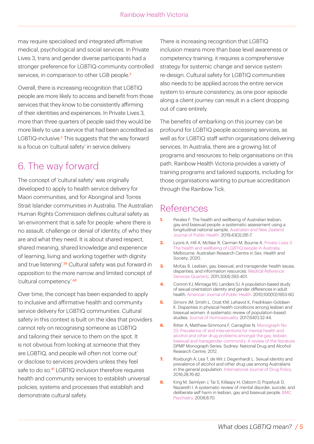may require specialised and integrated affirmative medical, psychological and social services. In Private Lives 3, trans and gender diverse participants had a stronger preference for LGBTIQ-community controlled services, in comparison to other LGB people.<sup>2</sup>

Overall, there is increasing recognition that LGBTIQ people are more likely to access and benefit from those services that they know to be consistently affirming of their identities and experiences. In Private Lives 3, more than three quarters of people said they would be more likely to use a service that had been accredited as LGBTIQ-inclusive.<sup>2</sup> This suggests that the way forward is a focus on 'cultural safety' in service delivery.

### 6. The way forward

The concept of 'cultural safety' was originally developed to apply to health service delivery for Maori communities, and for Aboriginal and Torres Strait Islander communities in Australia. The Australian Human Rights Commission defines cultural safety as 'an environment that is safe for people: where there is no assault, challenge or denial of identity, of who they are and what they need. It is about shared respect, shared meaning, shared knowledge and experience of learning, living and working together with dignity and true listening<sup>'39</sup> Cultural safety was put forward in opposition to the more narrow and limited concept of 'cultural competency'.<sup>40</sup>

Over time, the concept has been expanded to apply to inclusive and affirmative health and community service delivery for LGBTIQ communities. Cultural safety in this context is built on the idea that providers cannot rely on recognising someone as LGBTIQ and tailoring their service to them on the spot. It is not obvious from looking at someone that they are LGBTIQ, and people will often not 'come out' or disclose to services providers unless they feel safe to do so.<sup>41</sup> LGBTIQ inclusion therefore requires health and community services to establish universal policies, systems and processes that establish and demonstrate cultural safety.

There is increasing recognition that LGBTIQ inclusion means more than base level awareness or competency training; it requires a comprehensive strategy for systemic change and service system re-design. Cultural safety for LGBTIQ communities also needs to be applied across the entire service system to ensure consistency, as one poor episode along a client journey can result in a client dropping out of care entirely.

The benefits of embarking on this journey can be profound for LGBTIQ people accessing services, as well as for LGBTIQ staff within organisations delivering services. In Australia, there are a growing list of programs and resources to help organisations on this path. Rainbow Health Victoria provides a variety of training programs and tailored supports, including for those organisations wanting to pursue accreditation through the Rainbow Tick.

#### References

- **1.** Perales F. The health and wellbeing of Australian lesbian, [gay and bisexual people: a systematic assessment using a](https://doi.org/10.1111/1753-6405.12855)  longitudinal national sample. Australian and New Zealand Journal of Public Health. 2019;43(3):281-7.
- **2.** [Lyons A, Hill A, McNair R, Carman M, Bourne A. Private Lives 3:](https://www.latrobe.edu.au/arcshs/publications/private-lives/private-lives-3)  The health and wellbeing of LGBTIQ people in Australia. Melbourne: Australian Research Centre in Sex, Health and Society; 2020.
- **3.** McKay B. Lesbian, gay, bisexual, and transgender health issues, disparities, and information resources. Medical Reference Services Quarterly. 2011;30(4):393-401.
- **4.** Conron KJ, Mimiaga MJ, Landers SJ. A population-based study of sexual orientation identity and gender differences in adult [health. American Journal of Public Health. 2010;100\(10\):1953-60.](https://doi.org/10.2105/ajph.2009.174169)
- **5.** Simoni JM, Smith L, Oost KM, Lehavot K, Fredriksen-Goldsen [K. Disparities in physical health conditions among lesbian and](https://doi.org/10.1080/00918369.2016.1174021)  bisexual women: A systematic review of population-based studies. Journal of Homosexuality. 2017;64(1):32-44.
- **6.** Ritter A, Matthew-Simmons F, Carragher N. Monograph No. 23: Prevalence of and interventions for mental health and alcohol and other drug problems amongst the gay, lesbian, [bisexual and transgender community: A review of the literature.](https://ndarc.med.unsw.edu.au/resource/23-prevalence-and-interventions-mental-health-and-alcohol-and-other-drug-problems-amongst)  DPMP Monograph Series. Sydney: National Drug and Alcohol Research Centre; 2012.
- **7.** Roxburgh A, Lea T, de Wit J, Degenhardt L. Sexual identity and prevalence of alcohol and other drug use among Australians in the general population. International Journal of Drug Policy. 2016;28:76-82.
- **8.** King M, Semlyen J, Tai S, Killaspy H, Osborn D, Popelyuk D, [Nazareth I. A systematic review of mental disorder, suicide, and](https://doi.org/10.1186/1471-244X-8-70)  deliberate self harm in lesbian, gay and bisexual people. BMC Psychiatry. 2008;8:70.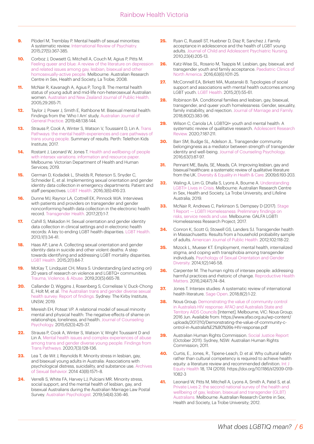- **9.** Plöderl M, Tremblay P. Mental health of sexual minorities: A systematic review. International Review of Psychiatry. 2015;27(5):367-385.
- **10.** Corboz J, Dowsett G, Mitchell A, Couch M, Agius P, Pitts M. [Feeling queer and blue: A review of the literature on depression](https://www.researchgate.net/publication/242705710_A_Review_of_the_Literature_on_Depression_and_Related_Issues_among_Gay_Lesbian_Bisexual_and_other_Homosexually_Active_People)  and related issues among gay, lesbian, bisexual and other homosexually-active people. Melbourne: Australian Research Centre in Sex, Health and Society, La Trobe; 2008.
- **11.** McNair R, Kavanagh A, Agius P, Tong B. The mental health [status of young adult and mid-life non-heterosexual Australian](https://doi.org/10.1111/j.1467-842x.2005.tb00766.x)  women. Australian and New Zealand Journal of Public Health. 2005;29:265-71.
- **12.** [Taylor J, Power J, Smith E, Rathbone M. Bisexual mental health:](https://doi.org/10.31128/ajgp-06-18-4615)  Findings from the 'Who I Am' study. Australian Journal of General Practice. 2019;48:138-144.
- **13.** Strauss P, Cook A, Winter S, Watson V, Toussaint D, Lin A. Trans [Pathways: the mental health experiences and care pathways of](https://www.telethonkids.org.au/projects/past/trans-pathways/)  trans young people. Summary of results. Perth: Telethon Kids Institute; 2017.
- **14.** [Rostant J, Leonard W, Jones T. Health and wellbeing of people](https://research-management.mq.edu.au/ws/portalfiles/portal/100001677/Health_and_wellbeing_of_people_with_intersex_variations.pdf)  with intersex variations: information and resource paper. Melbourne: Victorian Department of Health and Human Services; 2019.
- **15.** German D, Kodadek L, Shields R, Peterson S, Snyder C, Schneider E, et al. Implementing sexual orientation and gender [identity data collection in emergency departments: Patient and](https://doi.org/10.1089/lgbt.2016.0069)  staff perspectives. LGBT Health. 2016;3(6):416-23.
- **16.** Dunne MJ, Raynor LA, Cottrell EK, Pinnock WJA. Interviews with patients and providers on transgender and gender [nonconforming health data collection in the electronic health](https://doi.org/10.1089%2Ftrgh.2016.0041)  record. Transgender Health. 2017;2(1):1-7.
- **17.** Cahill S, Makadon H. Sexual orientation and gender identity data collection in clinical settings and in electronic health [records: A key to ending LGBT health disparities. LGBT Health.](https://doi.org/10.1089/lgbt.2013.0001) 2013;1(1):34-41.
- **18.** Haas AP, Lane A. Collecting sexual orientation and gender identity data in suicide and other violent deaths: A step [towards identifying and addressing LGBT mortality disparities.](https://doi.org/10.1089%2Flgbt.2014.0083)  LGBT Health. 2015;2(1):84-7.
- **19.** [McKay T, Lindquist CH, Misra S. Understanding \(and acting on\)](https://doi.org/10.1177/1524838017728708)  20 years of research on violence and LGBTQ+ communities. Trauma, Violence, & Abuse. 2019;20(5):665-78.
- **20.** [Callander D, Wiggins J, Rosenberg S, Cornelisse V, Duck-Chong](https://kirby.unsw.edu.au/sites/default/files/kirby/report/ATGD-Sexual-Health-Survey-Report_2018.pdf)  E, Holt M, et al. The Australian trans and gender diverse sexual health survey: Report of findings. Sydney: The Kirby Institute, UNSW; 2019.
- **21.** Mereish EH, Poteat VP. A relational model of sexual minority [mental and physical health: The negative effects of shame on](https://doi.org/10.1037/cou0000088)  relationships, loneliness, and health. Journal of Counseling Psychology. 2015;62(3):425-37.
- **22.** Strauss P, Cook A, Winter S, Watson V, Wright Toussaint D and [Lin A. Mental health issues and complex experiences of abuse](https://doi.org/10.1089/lgbt.2019.0232)  among trans and gender diverse young people: Findings from Trans Pathways. 2020;7(3):128-136.
- **23.** Lea T, de Wit J, Reynolds R. Minority stress in lesbian, gay, and bisexual young adults in Australia: Associations with [psychological distress, suicidality, and substance use. Archives](https://doi.org/10.1007/s10508-014-0266-6)  of Sexual Behavior. 2014 43(8):1571–8.
- **24.** Verrelli S, White FA, Harvey LJ, Pulciani MR. Minority stress, social support, and the mental health of lesbian, gay, and [bisexual Australians during the Australian Marriage Law Postal](https://doi.org/10.1111/ap.12380)  Survey. Australian Psychologist. 2019;54(4):336-46.
- **25.** Ryan C, Russell ST, Huebner D, Diaz R, Sanchez J. Family acceptance in adolescence and the health of LGBT young [adults. Journal of Child and Adolescent Psychiatric Nursing.](https://doi.org/10.1111/j.1744-6171.2010.00246.x)  2010;23(4):205-13.
- **26.** Katz-Wise SL, Rosario M, Tsappis M. Lesbian, gay, bisexual, and [transgender youth and family acceptance. Paediatric Clinics of](https://doi.org/10.1016%2Fj.pcl.2016.07.005)  North America. 2016;63(6):1011-25.
- **27.** McConnell EA, Birkett MA, Mustanski B. Typologies of social [support and associations with mental health outcomes among](https://doi.org/10.1089%2Flgbt.2014.0051)  LGBT youth. LGBT Health. 2015;2(1):55-61.
- **28.** Robinson BA. Conditional families and lesbian, gay, bisexual, [transgender, and queer youth homelessness: Gender, sexuality,](https://doi.org/10.1111/jomf.12466)  family instability, and rejection. Journal of Marriage and Family. 2018;80(2):383-96.
- **29.** Wilson C, Cariola LA. LGBTQI+ youth and mental health: A [systematic review of qualitative research. Adolescent Research](https://doi.org/10.1007/s40894-019-00118-w)  Review. 2020;7:187-211.
- **30.** Barr SM, Budge SL, Adelson JL. Transgender community [belongingness as a mediator between strength of transgender](https://doi.org/10.1037/cou0000127)  identity and well-being. Journal of Counseling Psychology. 2016;63(1):87-97.
- **31.** Pennant ME, Baylis, SE, Meads, CA. Improving lesbian, gay and bisexual healthcare: a systematic review of qualitative literature [from the UK. Diversity & Equality in Health & Care. 2009;6:193-203.](https://www.primescholars.com/articles/improving-lesbian-gay-and-bisexual-healthcare-a-systematic-review-of-qualitative-literature-from-the-uk-94666.html)
- **32.** Waling A, Lim G, Dhalla S, Lyons A, Bourne A. Understanding [LGBTI+ Lives in Crisis. Melbourne: Australian Research Centre](https://www.latrobe.edu.au/arcshs/publications/lgbtiq-health-and-wellbeing)  in Sex, Health and Society, La Trobe University, and Lifeline Australia; 2019.
- **33.** [McNair R, Andrews C, Parkinson S, Dempsey D \(2017\). Stage](https://researchbank.swinburne.edu.au/file/e391af0b-f504-403f-bff5-06ecc73e90f5/1/2017-mcnair-lgbtq_homelessness_final.pdf)  1 Report — LGBTI Homelessness: Preliminary findings on risks, service needs and use. Melbourne: GALFA LGBTI Homelessness Research Project; 2017.
- **34.** Conron K, Scott G, Stowell GS, Landers SJ. Transgender health [in Massachusetts: Results from a household probability sample](https://doi.org/10.2105%2FAJPH.2011.300315)  of adults. American Journal of Public Health. 2012;102:118-22.
- **35.** [Mizock L, Mueser KT. Employment, mental health, internalized](https://doi.org/10.1037/sgd0000029)  stigma, and coping with transphobia among transgender individuals. Psychology of Sexual Orientation and Gender Diversity. 2014;1(2):146-58.
- **36.** Carpenter M. The human rights of intersex people: addressing [harmful practices and rhetoric of change. Reproductive Health](https://doi.org/10.1016/j.rhm.2016.06.003)  Matters. 2016;24(47):74–84.
- **37.** Jones T. Intersex studies: A systematic review of international health literature. Sage Open. 2018;8(2):1-22.
- **38.** Nous Group. Demonstrating the value of community control in Australia's HIV response: AFAO and Australia's State and [Territory AIDS Councils \[Internet\]. Melbourne, VIC: Nous Group;](https://www.afao.org.au/wp-content/uploads/2017/10/Demonstrating-the-value-of-community-c-ontrol-in-Australia%E2%80%99s-HIV-response.pdf)  2016 Jun. Available from: https://www.afao.org.au/wp-content/ uploads/2017/10/Demonstrating-the-value-of-community-control-in-Australia%E2%80%99s-HIV-response.pdf
- **39.** [Australian Human Rights Commission. Social Justice Report](https://humanrights.gov.au/our-work/aboriginal-and-torres-strait-islander-social-justice/publications/social-justice-report) (October 2011). Sydney, NSW: Australian Human Rights Commission; 2011.
- **40.** Curtis, E., Jones, R., Tipene-Leach, D. et al. Why cultural safety rather than cultural competency is required to achieve health equity: a literature review and recommended definition. Int J [Equity Health 18, 174 \(2019\). https://doi.org/10.1186/s12939-019-](https://doi.org/10.1186/s12939-019-1082-3) 1082-3
- **41.** Leonard W, Pitts M, Mitchell A, Lyons A, Smith A, Patel S, et al. Private Lives 2: the second national survey of the health and wellbeing of gay, lesbian, bisexual and transgender (GLBT) Australians. Melbourne: Australian Research Centre in Sex, Health and Society, La Trobe University; 2012.